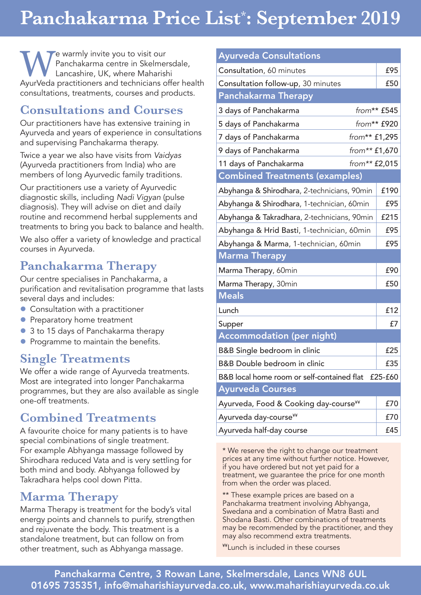# **Panchakarma Price List\* : September 2019**

e warmly invite you to visit our Panchakarma centre in Skelmersdale, Lancashire, UK, where Maharishi AyurVeda practitioners and technicians offer health consultations, treatments, courses and products.

### **Consultations and Courses**

Our practitioners have has extensive training in Ayurveda and years of experience in consultations and supervising Panchakarma therapy.

Twice a year we also have visits from *Vaidyas* (Ayurveda practitioners from India) who are members of long Ayurvedic family traditions.

Our practitioners use a variety of Ayurvedic diagnostic skills, including *Nadi Vigyan* (pulse diagnosis). They will advise on diet and daily routine and recommend herbal supplements and treatments to bring you back to balance and health.

We also offer a variety of knowledge and practical courses in Ayurveda.

## **Panchakarma Therapy**

Our centre specialises in Panchakarma, a purification and revitalisation programme that lasts several days and includes:

- **Consultation with a practitioner**
- **Preparatory home treatment**
- 3 to 15 days of Panchakarma therapy
- **Programme to maintain the benefits.**

#### **Single Treatments**

We offer a wide range of Ayurveda treatments. Most are integrated into longer Panchakarma programmes, but they are also available as single one-off treatments.

#### **Combined Treatments**

A favourite choice for many patients is to have special combinations of single treatment. For example Abhyanga massage followed by Shirodhara reduced Vata and is very settling for both mind and body. Abhyanga followed by Takradhara helps cool down Pitta.

### **Marma Therapy**

Marma Therapy is treatment for the body's vital energy points and channels to purify, strengthen and rejuvenate the body. This treatment is a standalone treatment, but can follow on from other treatment, such as Abhyanga massage.

| <b>Ayurveda Consultations</b>                      |               |  |
|----------------------------------------------------|---------------|--|
| Consultation, 60 minutes                           | £95           |  |
| Consultation follow-up, 30 minutes                 | £50           |  |
| <b>Panchakarma Therapy</b>                         |               |  |
| 3 days of Panchakarma                              | from** £545   |  |
| 5 days of Panchakarma                              | from** £920   |  |
| 7 days of Panchakarma                              | from** £1,295 |  |
| 9 days of Panchakarma                              | from** £1,670 |  |
| 11 days of Panchakarma                             | from** £2,015 |  |
| <b>Combined Treatments (examples)</b>              |               |  |
| Abyhanga & Shirodhara, 2-technicians, 90min        | £190          |  |
| Abyhanga & Shirodhara, 1-technician, 60min         | £95           |  |
| Abyhanga & Takradhara, 2-technicians, 90min        | £215          |  |
| Abyhanga & Hrid Basti, 1-technician, 60min         | £95           |  |
| Abyhanga & Marma, 1-technician, 60min              | £95           |  |
| Marma Therapy                                      |               |  |
| Marma Therapy, 60min                               | £90           |  |
| Marma Therapy, 30min                               | £50           |  |
| <b>Meals</b>                                       |               |  |
| Lunch                                              | £12           |  |
| Supper                                             | £7            |  |
| <b>Accommodation (per night)</b>                   |               |  |
| B&B Single bedroom in clinic                       | £25           |  |
| <b>B&amp;B Double bedroom in clinic</b>            | £35           |  |
| B&B local home room or self-contained flat £25-£60 |               |  |
| <b>Ayurveda Courses</b>                            |               |  |
| Ayurveda, Food & Cooking day-course <sup>¥¥</sup>  | £70           |  |
| Ayurveda day-course <sup>¥¥</sup>                  | £70           |  |
| Ayurveda half-day course                           | £45           |  |

\* We reserve the right to change our treatment prices at any time without further notice. However, if you have ordered but not yet paid for a treatment, we guarantee the price for one month from when the order was placed.

\*\* These example prices are based on a Panchakarma treatment involving Abhyanga, Swedana and a combination of Matra Basti and Shodana Basti. Other combinations of treatments may be recommended by the practitioner, and they may also recommend extra treatments.

¥¥Lunch is included in these courses

Panchakarma Centre, 3 Rowan Lane, Skelmersdale, Lancs WN8 6UL 01695 735351, info@maharishiayurveda.co.uk, www.maharishiayurveda.co.uk